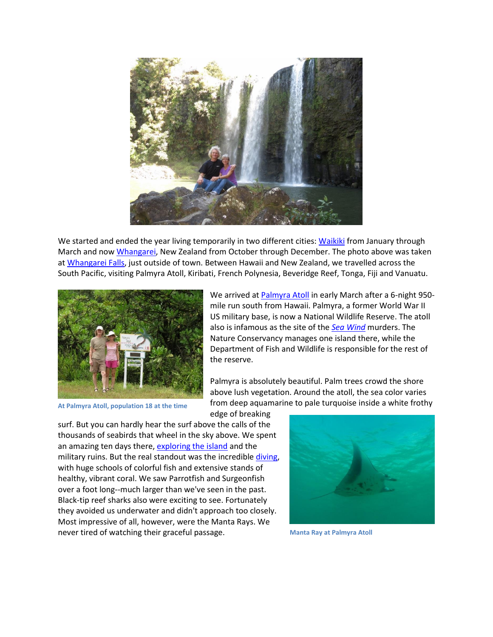

We started and ended the year living temporarily in two different cities[: Waikiki](http://www.mvdirona.com/Trips/Hawaii2012/CruisingHawaii2012.html?latLng=-157.8429,21.2870) from January through March and no[w Whangarei,](http://www.mvdirona.com/trips/NewZealand2013/Northland.html?latLng=174.3231,-35.7256) New Zealand from October through December. The photo above was taken a[t Whangarei Falls,](http://www.mvdirona.com/trips/NewZealand2013/Northland.html?bleat=10/20/2013:+Whangarei+Falls) just outside of town. Between Hawaii and New Zealand, we travelled across the South Pacific, visiting Palmyra Atoll, Kiribati, French Polynesia, Beveridge Reef, Tonga, Fiji and Vanuatu.



We arrived at **Palmyra Atoll** in early March after a 6-night 950mile run south from Hawaii. Palmyra, a former World War II US military base, is now a National Wildlife Reserve. The atoll also is infamous as the site of the *[Sea Wind](http://blog.mvdirona.com/ct.ashx?id=f22e5910-4fbf-4123-b26b-fa8909ac1c47&url=http%3a%2f%2fen.wikipedia.org%2fwiki%2fAnd_the_Sea_Will_Tell)* murders. The Nature Conservancy manages one island there, while the Department of Fish and Wildlife is responsible for the rest of the reserve.

**At Palmyra Atoll, population 18 at the time**

Palmyra is absolutely beautiful. Palm trees crowd the shore above lush vegetation. Around the atoll, the sea color varies from deep aquamarine to pale turquoise inside a white frothy

edge of breaking surf. But you can hardly hear the surf above the calls of the thousands of seabirds that wheel in the sky above. We spent an amazing ten days there, [exploring the island](http://blog.mvdirona.com/2013/03/24/PalmyraAshore.aspx) and the military ruins. But the real standout was the incredible [diving,](http://blog.mvdirona.com/2013/03/29/PalmyraDiving.aspx) with huge schools of colorful fish and extensive stands of healthy, vibrant coral. We saw Parrotfish and Surgeonfish over a foot long--much larger than we've seen in the past. Black-tip reef sharks also were exciting to see. Fortunately they avoided us underwater and didn't approach too closely. Most impressive of all, however, were the Manta Rays. We never tired of watching their graceful passage.



**Manta Ray at Palmyra Atoll**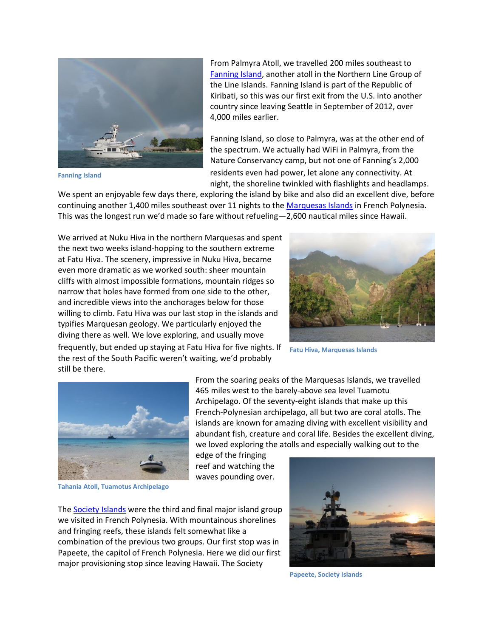

**Fanning Island**

From Palmyra Atoll, we travelled 200 miles southeast to [Fanning Island,](http://blog.mvdirona.com/2013/04/16/FanningIsland.aspx) another atoll in the Northern Line Group of the Line Islands. Fanning Island is part of the Republic of Kiribati, so this was our first exit from the U.S. into another country since leaving Seattle in September of 2012, over 4,000 miles earlier.

Fanning Island, so close to Palmyra, was at the other end of the spectrum. We actually had WiFi in Palmyra, from the Nature Conservancy camp, but not one of Fanning's 2,000 residents even had power, let alone any connectivity. At night, the shoreline twinkled with flashlights and headlamps.

We spent an enjoyable few days there, exploring the island by bike and also did an excellent dive, before continuing another 1,400 miles southeast over 11 nights to th[e Marquesas Islands](http://blog.mvdirona.com/2013/05/16/MarquesasIslands.aspx) in French Polynesia. This was the longest run we'd made so fare without refueling—2,600 nautical miles since Hawaii.

We arrived at Nuku Hiva in the northern Marquesas and spent the next two weeks island-hopping to the southern extreme at Fatu Hiva. The scenery, impressive in Nuku Hiva, became even more dramatic as we worked south: sheer mountain cliffs with almost impossible formations, mountain ridges so narrow that holes have formed from one side to the other, and incredible views into the anchorages below for those willing to climb. Fatu Hiva was our last stop in the islands and typifies Marquesan geology. We particularly enjoyed the diving there as well. We love exploring, and usually move



frequently, but ended up staying at Fatu Hiva for five nights. If the rest of the South Pacific weren't waiting, we'd probably still be there.

**Fatu Hiva, Marquesas Islands**



From the soaring peaks of the Marquesas Islands, we travelled 465 miles west to the barely-above sea level Tuamotu Archipelago. Of the seventy-eight islands that make up this French-Polynesian archipelago, all but two are coral atolls. The islands are known for amazing diving with excellent visibility and abundant fish, creature and coral life. Besides the excellent diving, we loved exploring the atolls and especially walking out to the

edge of the fringing reef and watching the waves pounding over.

**Tahania Atoll, Tuamotus Archipelago**

The [Society Islands](http://blog.mvdirona.com/2013/06/29/TheSocietyIslands.aspx) were the third and final major island group we visited in French Polynesia. With mountainous shorelines and fringing reefs, these islands felt somewhat like a combination of the previous two groups. Our first stop was in Papeete, the capitol of French Polynesia. Here we did our first major provisioning stop since leaving Hawaii. The Society



**Papeete, Society Islands**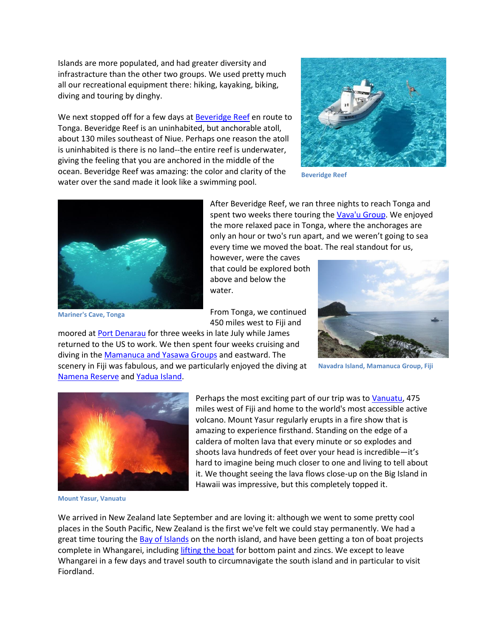Islands are more populated, and had greater diversity and infrastracture than the other two groups. We used pretty much all our recreational equipment there: hiking, kayaking, biking, diving and touring by dinghy.

We next stopped off for a few days a[t Beveridge Reef](http://www.mvdirona.com/Trips/Tonga2013/Tonga.html?bleat=6/21/2013:+Amazing) en route to Tonga. Beveridge Reef is an uninhabited, but anchorable atoll, about 130 miles southeast of Niue. Perhaps one reason the atoll is uninhabited is there is no land--the entire reef is underwater, giving the feeling that you are anchored in the middle of the ocean. Beveridge Reef was amazing: the color and clarity of the water over the sand made it look like a swimming pool.

moored a[t Port Denarau](file:///C:/jenh/Docs/Port%20Denarau) for three weeks in late July while James returned to the US to work. We then spent four weeks cruising and diving in th[e Mamanuca and Yasawa Groups](http://blog.mvdirona.com/2013/09/15/FijiTheMamanucaAndYasawaGroups.aspx) and eastward. The scenery in Fiji was fabulous, and we particularly enjoyed the diving at



**Beveridge Reef**



**Mariner's Cave, Tonga**

After Beveridge Reef, we ran three nights to reach Tonga and spent two weeks there touring the [Vava'u Group.](http://www.mvdirona.com/Trips/Tonga2013/Tonga.html?bleat=6/28/2013:+Neiafu+Harbor) We enjoyed the more relaxed pace in Tonga, where the anchorages are only an hour or two's run apart, and we weren't going to sea every time we moved the boat. The real standout for us,

however, were the caves that could be explored both above and below the water.

From Tonga, we continued 450 miles west to Fiji and



**Navadra Island, Mamanuca Group, Fiji**



[Namena Reserve](http://blog.mvdirona.com/2013/09/27/FijiNamenaMarineReserveAndMakogaiIsland.aspx) an[d Yadua Island.](http://blog.mvdirona.com/2013/09/22/FijiYaduaIsland.aspx)

miles west of Fiji and home to the world's most accessible active volcano. Mount Yasur regularly erupts in a fire show that is amazing to experience firsthand. Standing on the edge of a caldera of molten lava that every minute or so explodes and shoots lava hundreds of feet over your head is incredible—it's hard to imagine being much closer to one and living to tell about it. We thought seeing the lava flows close-up on the Big Island in Hawaii was impressive, but this completely topped it.

**Mount Yasur, Vanuatu**

We arrived in New Zealand late September and are loving it: although we went to some pretty cool places in the South Pacific, New Zealand is the first we've felt we could stay permanently. We had a great time touring the [Bay of Islands](http://blog.mvdirona.com/2013/11/24/NewZealandsBayOfIslands.aspx) on the north island, and have been getting a ton of boat projects complete in Whangarei, includin[g lifting the boat](http://blog.mvdirona.com/2013/10/29/OnTheHardAtNorsandBoatyard.aspx) for bottom paint and zincs. We except to leave Whangarei in a few days and travel south to circumnavigate the south island and in particular to visit Fiordland.